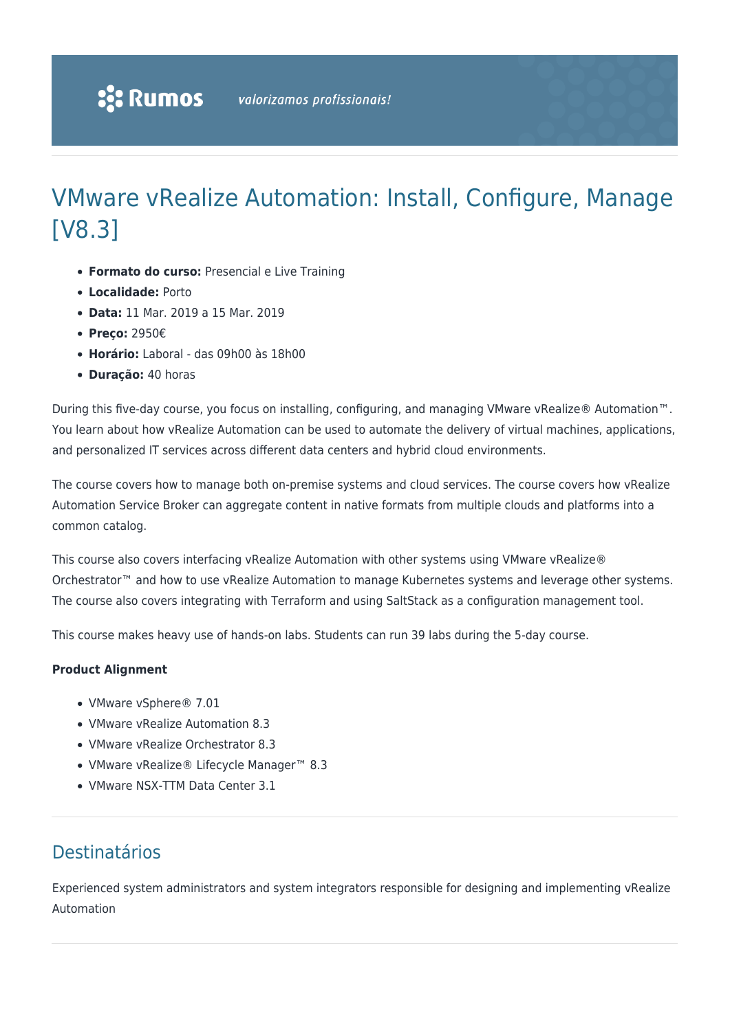# VMware vRealize Automation: Install, Configure, Manage [V8.3]

- **Formato do curso:** Presencial e Live Training
- **Localidade:** Porto
- **Data:** 11 Mar. 2019 a 15 Mar. 2019
- **Preço:** 2950€
- **Horário:** Laboral das 09h00 às 18h00
- **Duração:** 40 horas

During this five-day course, you focus on installing, configuring, and managing VMware vRealize® Automation™. You learn about how vRealize Automation can be used to automate the delivery of virtual machines, applications, and personalized IT services across different data centers and hybrid cloud environments.

The course covers how to manage both on-premise systems and cloud services. The course covers how vRealize Automation Service Broker can aggregate content in native formats from multiple clouds and platforms into a common catalog.

This course also covers interfacing vRealize Automation with other systems using VMware vRealize® Orchestrator™ and how to use vRealize Automation to manage Kubernetes systems and leverage other systems. The course also covers integrating with Terraform and using SaltStack as a configuration management tool.

This course makes heavy use of hands-on labs. Students can run 39 labs during the 5-day course.

# **Product Alignment**

- VMware vSphere® 7.01
- VMware vRealize Automation 8.3
- VMware vRealize Orchestrator 8.3
- VMware vRealize® Lifecycle Manager™ 8.3
- VMware NSX-TTM Data Center 3.1

# Destinatários

Experienced system administrators and system integrators responsible for designing and implementing vRealize Automation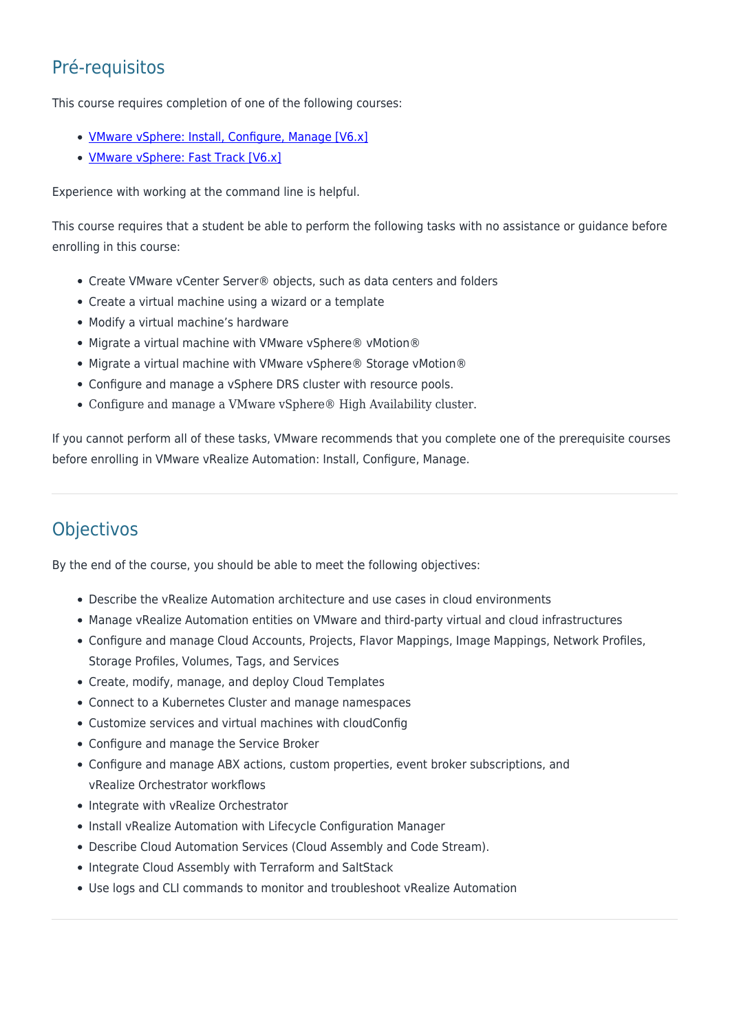# Pré-requisitos

This course requires completion of one of the following courses:

- [VMware vSphere: Install, Configure, Manage \[V6.x\]](https://rumos.pt/curso/vmware-vsphere-install-configure-manage-v6-7-vwvsicm/)
- **[VMware vSphere: Fast Track \[V6.x\]](https://rumos.pt/curso/vmware-vsphere-fast-track-v6-7-vwvsft/)**

Experience with working at the command line is helpful.

This course requires that a student be able to perform the following tasks with no assistance or guidance before enrolling in this course:

- Create VMware vCenter Server® objects, such as data centers and folders
- Create a virtual machine using a wizard or a template
- Modify a virtual machine's hardware
- Migrate a virtual machine with VMware vSphere® vMotion®
- Migrate a virtual machine with VMware vSphere® Storage vMotion®
- Configure and manage a vSphere DRS cluster with resource pools.
- Configure and manage a VMware vSphere® High Availability cluster.

If you cannot perform all of these tasks, VMware recommends that you complete one of the prerequisite courses before enrolling in VMware vRealize Automation: Install, Configure, Manage.

# **Objectivos**

By the end of the course, you should be able to meet the following objectives:

- Describe the vRealize Automation architecture and use cases in cloud environments
- Manage vRealize Automation entities on VMware and third-party virtual and cloud infrastructures
- Configure and manage Cloud Accounts, Projects, Flavor Mappings, Image Mappings, Network Profiles, Storage Profiles, Volumes, Tags, and Services
- Create, modify, manage, and deploy Cloud Templates
- Connect to a Kubernetes Cluster and manage namespaces
- Customize services and virtual machines with cloudConfig
- Configure and manage the Service Broker
- Configure and manage ABX actions, custom properties, event broker subscriptions, and vRealize Orchestrator workflows
- Integrate with vRealize Orchestrator
- Install vRealize Automation with Lifecycle Configuration Manager
- Describe Cloud Automation Services (Cloud Assembly and Code Stream).
- Integrate Cloud Assembly with Terraform and SaltStack
- Use logs and CLI commands to monitor and troubleshoot vRealize Automation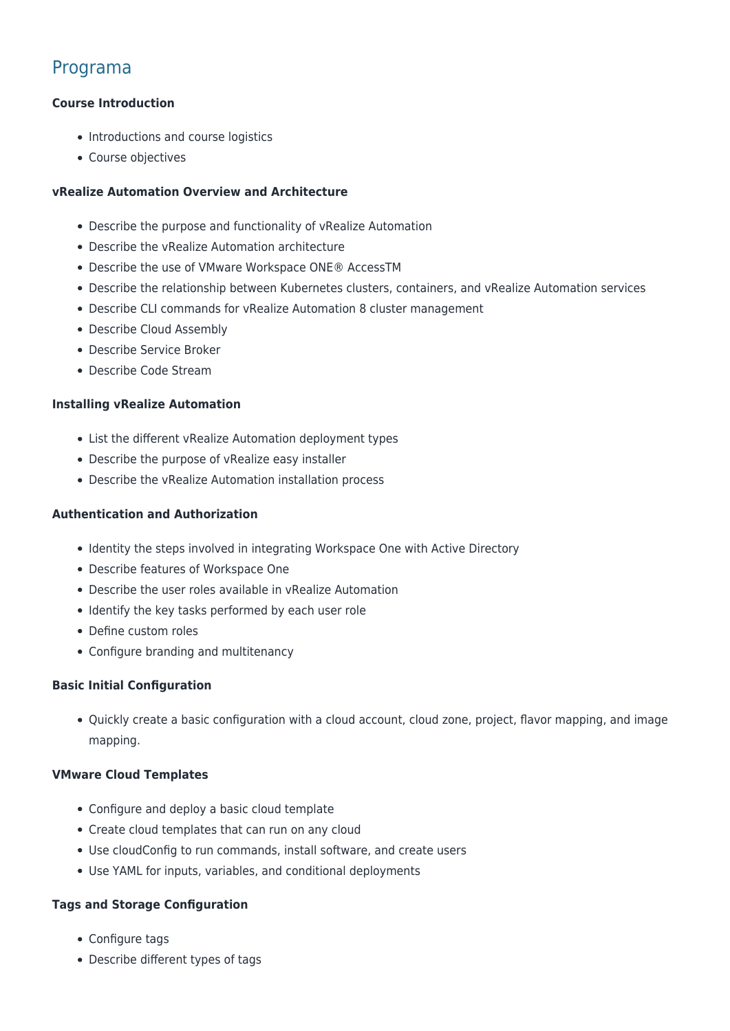# Programa

# **Course Introduction**

- Introductions and course logistics
- Course objectives

## **vRealize Automation Overview and Architecture**

- Describe the purpose and functionality of vRealize Automation
- Describe the vRealize Automation architecture
- Describe the use of VMware Workspace ONE® AccessTM
- Describe the relationship between Kubernetes clusters, containers, and vRealize Automation services
- Describe CLI commands for vRealize Automation 8 cluster management
- Describe Cloud Assembly
- Describe Service Broker
- Describe Code Stream

## **Installing vRealize Automation**

- List the different vRealize Automation deployment types
- Describe the purpose of vRealize easy installer
- Describe the vRealize Automation installation process

## **Authentication and Authorization**

- Identity the steps involved in integrating Workspace One with Active Directory
- Describe features of Workspace One
- Describe the user roles available in vRealize Automation
- Identify the key tasks performed by each user role
- Define custom roles
- Configure branding and multitenancy

# **Basic Initial Configuration**

Quickly create a basic configuration with a cloud account, cloud zone, project, flavor mapping, and image mapping.

#### **VMware Cloud Templates**

- Configure and deploy a basic cloud template
- Create cloud templates that can run on any cloud
- Use cloudConfig to run commands, install software, and create users
- Use YAML for inputs, variables, and conditional deployments

#### **Tags and Storage Configuration**

- Configure tags
- Describe different types of tags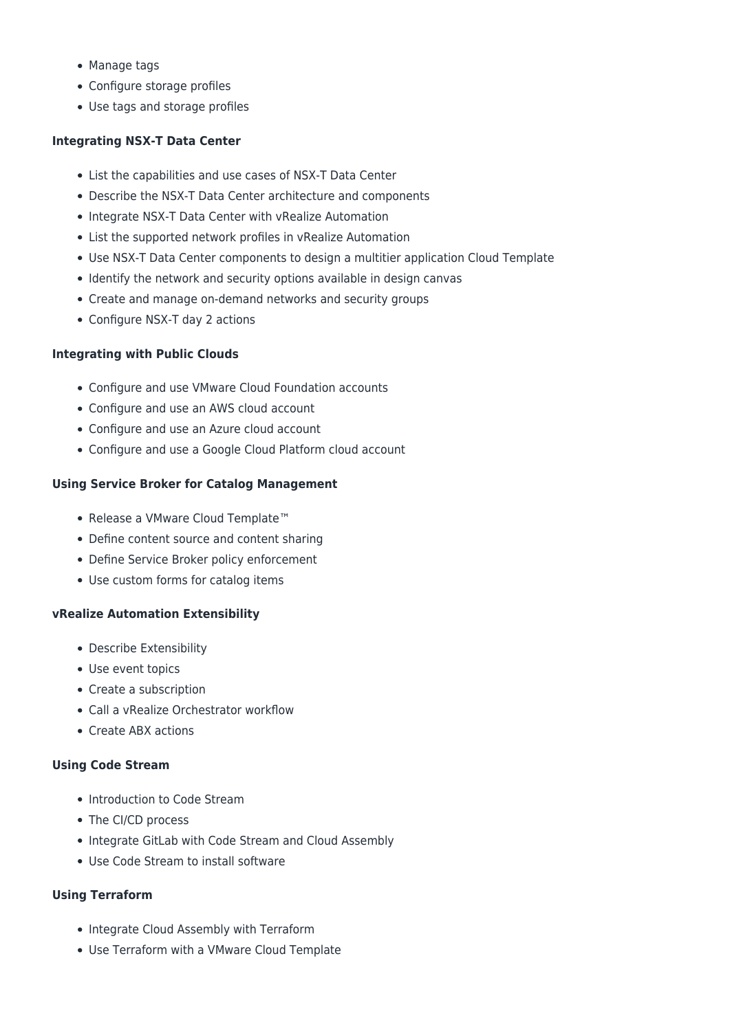- Manage tags
- Configure storage profiles
- Use tags and storage profiles

# **Integrating NSX-T Data Center**

- List the capabilities and use cases of NSX-T Data Center
- Describe the NSX-T Data Center architecture and components
- Integrate NSX-T Data Center with vRealize Automation
- List the supported network profiles in vRealize Automation
- Use NSX-T Data Center components to design a multitier application Cloud Template
- Identify the network and security options available in design canvas
- Create and manage on-demand networks and security groups
- Configure NSX-T day 2 actions

# **Integrating with Public Clouds**

- Configure and use VMware Cloud Foundation accounts
- Configure and use an AWS cloud account
- Configure and use an Azure cloud account
- Configure and use a Google Cloud Platform cloud account

# **Using Service Broker for Catalog Management**

- Release a VMware Cloud Template™
- Define content source and content sharing
- Define Service Broker policy enforcement
- Use custom forms for catalog items

# **vRealize Automation Extensibility**

- Describe Extensibility
- Use event topics
- Create a subscription
- Call a vRealize Orchestrator workflow
- Create ABX actions

# **Using Code Stream**

- Introduction to Code Stream
- The CI/CD process
- Integrate GitLab with Code Stream and Cloud Assembly
- Use Code Stream to install software

# **Using Terraform**

- Integrate Cloud Assembly with Terraform
- Use Terraform with a VMware Cloud Template